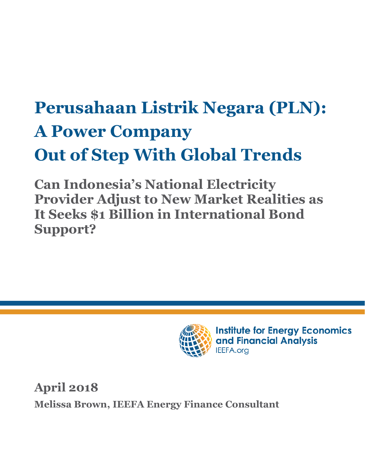# **Perusahaan Listrik Negara (PLN): A Power Company Out of Step With Global Trends**

**Can Indonesia's National Electricity Provider Adjust to New Market Realities as It Seeks \$1 Billion in International Bond Support?**



**Institute for Energy Economics** and Financial Analysis IEEFA.org

**April 2018 Melissa Brown, IEEFA Energy Finance Consultant**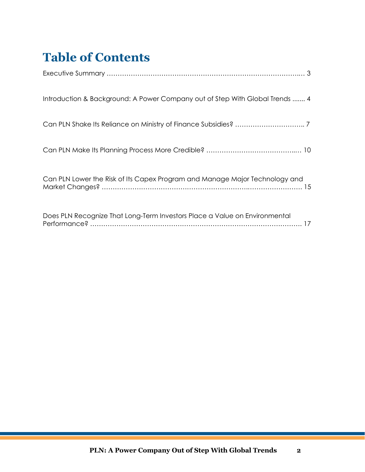## **Table of Contents**

| Introduction & Background: A Power Company out of Step With Global Trends  4 |
|------------------------------------------------------------------------------|
|                                                                              |
|                                                                              |
| Can PLN Lower the Risk of Its Capex Program and Manage Major Technology and  |
| Does PLN Recognize That Long-Term Investors Place a Value on Environmental   |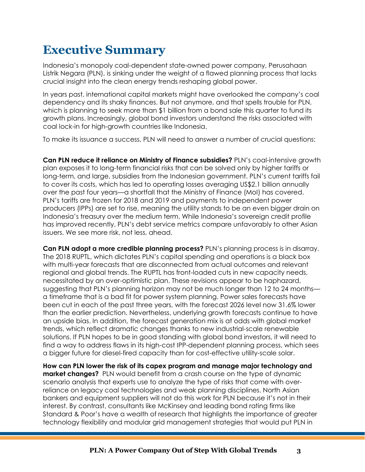### **Executive Summary**

Indonesia's monopoly coal-dependent state-owned power company, Perusahaan Listrik Negara (PLN), is sinking under the weight of a flawed planning process that lacks crucial insight into the clean energy trends reshaping global power.

In years past, international capital markets might have overlooked the company's coal dependency and its shaky finances. But not anymore, and that spells trouble for PLN, which is planning to seek more than \$1 billion from a bond sale this quarter to fund its growth plans. Increasingly, global bond investors understand the risks associated with coal lock-in for high-growth countries like Indonesia.

To make its issuance a success, PLN will need to answer a number of crucial questions:

**Can PLN reduce it reliance on Ministry of Finance subsidies?** PLN's coal-intensive growth plan exposes it to long-term financial risks that can be solved only by higher tariffs or long-term, and large, subsidies from the Indonesian government. PLN's current tariffs fail to cover its costs, which has led to operating losses averaging US\$2.1 billion annually over the past four years—a shortfall that the Ministry of Finance (MoI) has covered. PLN's tariffs are frozen for 2018 and 2019 and payments to independent power producers (IPPs) are set to rise, meaning the utility stands to be an even bigger drain on Indonesia's treasury over the medium term. While Indonesia's sovereign credit profile has improved recently, PLN's debt service metrics compare unfavorably to other Asian issuers. We see more risk, not less, ahead.

**Can PLN adopt a more credible planning process?** PLN's planning process is in disarray. The 2018 RUPTL, which dictates PLN's capital spending and operations is a black box with multi-year forecasts that are disconnected from actual outcomes and relevant regional and global trends. The RUPTL has front-loaded cuts in new capacity needs, necessitated by an over-optimistic plan. These revisions appear to be haphazard, suggesting that PLN's planning horizon may not be much longer than 12 to 24 months a timeframe that is a bad fit for power system planning. Power sales forecasts have been cut in each of the past three years, with the forecast 2026 level now 31.6% lower than the earlier prediction. Nevertheless, underlying growth forecasts continue to have an upside bias. In addition, the forecast generation mix is at odds with global market trends, which reflect dramatic changes thanks to new industrial-scale renewable solutions. If PLN hopes to be in good standing with global bond investors, it will need to find a way to address flaws in its high-cost IPP-dependent planning process, which sees a bigger future for diesel-fired capacity than for cost-effective utility-scale solar.

**How can PLN lower the risk of its capex program and manage major technology and market changes?** PLN would benefit from a crash course on the type of dynamic scenario analysis that experts use to analyze the type of risks that come with overreliance on legacy coal technologies and weak planning disciplines. North Asian bankers and equipment suppliers will not do this work for PLN because it's not in their interest. By contrast, consultants like McKinsey and leading bond rating firms like Standard & Poor's have a wealth of research that highlights the importance of greater technology flexibility and modular grid management strategies that would put PLN in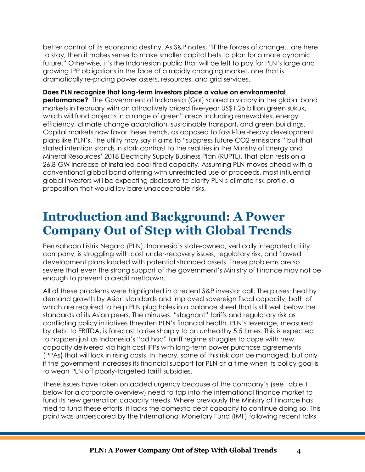better control of its economic destiny. As S&P notes, "if the forces of change…are here to stay, then it makes sense to make smaller capital bets to plan for a more dynamic future." Otherwise, it's the Indonesian public that will be left to pay for PLN's large and growing IPP obligations in the face of a rapidly changing market, one that is dramatically re-pricing power assets, resources, and grid services.

**Does PLN recognize that long-term investors place a value on environmental performance?** The Government of Indonesia (GoI) scored a victory in the alobal bond markets in February with an attractively priced five-year US\$1.25 billion green sukuk, which will fund projects in a range of green" areas including renewables, energy efficiency, climate change adaptation, sustainable transport, and green buildings. Capital markets now favor these trends, as opposed to fossil-fuel-heavy development plans like PLN's. The utility may say it aims to "suppress future CO2 emissions," but that stated intention stands in stark contrast to the realities in the Ministry of Energy and Mineral Resources' 2018 Electricity Supply Business Plan (RUPTL). That plan rests on a 26.8-GW increase of installed coal-fired capacity. Assuming PLN moves ahead with a conventional global bond offering with unrestricted use of proceeds, most influential global investors will be expecting disclosure to clarify PLN's climate risk profile, a proposition that would lay bare unacceptable risks.

### **Introduction and Background: A Power Company Out of Step with Global Trends**

Perusahaan Listrik Negara (PLN), Indonesia's state-owned, vertically integrated utility company, is struggling with cost under-recovery issues, regulatory risk, and flawed development plans loaded with potential stranded assets. These problems are so severe that even the strong support of the government's Ministry of Finance may not be enough to prevent a credit meltdown.

All of these problems were highlighted in a recent S&P investor call. The pluses: healthy demand growth by Asian standards and improved sovereign fiscal capacity, both of which are required to help PLN plug holes in a balance sheet that is still well below the standards of its Asian peers. The minuses: "stagnant" tariffs and regulatory risk as conflicting policy initiatives threaten PLN's financial health. PLN's leverage, measured by debt to EBITDA, is forecast to rise sharply to an unhealthy 5.5 times. This is expected to happen just as Indonesia's "ad hoc" tariff regime struggles to cope with new capacity delivered via high cost IPPs with long-term power purchase agreements (PPAs) that will lock in rising costs. In theory, some of this risk can be managed, but only if the government increases its financial support for PLN at a time when its policy goal is to wean PLN off poorly-targeted tariff subsidies.

These issues have taken on added urgency because of the company's (see Table 1 below for a corporate overview) need to tap into the international finance market to fund its new generation capacity needs. Where previously the Ministry of Finance has tried to fund these efforts, it lacks the domestic debt capacity to continue doing so. This point was underscored by the International Monetary Fund (IMF) following recent talks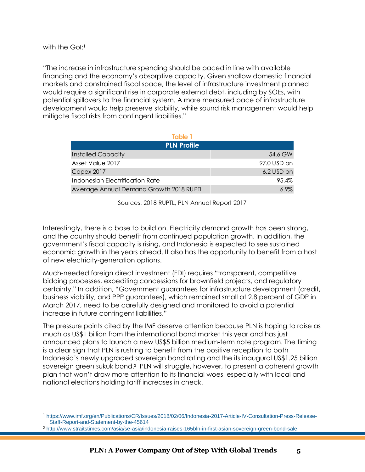$\overline{a}$ 

"The increase in infrastructure spending should be paced in line with available financing and the economy's absorptive capacity. Given shallow domestic financial markets and constrained fiscal space, the level of infrastructure investment planned would require a significant rise in corporate external debt, including by SOEs, with potential spillovers to the financial system. A more measured pace of infrastructure development would help preserve stability, while sound risk management would help mitigate fiscal risks from contingent liabilities."

| Table 1                                 |             |
|-----------------------------------------|-------------|
| <b>PLN Profile</b>                      |             |
| <b>Installed Capacity</b>               | 54.6 GW     |
| Asset Value 2017                        | 97.0 USD bn |
| <b>Capex 2017</b>                       | 6.2 USD bn  |
| Indonesian Electrification Rate         | 95.4%       |
| Average Annual Demand Growth 2018 RUPTL | $6.9\%$     |

Sources: 2018 RUPTL, PLN Annual Report 2017

Interestingly, there is a base to build on. Electricity demand growth has been strong, and the country should benefit from continued population growth. In addition, the government's fiscal capacity is rising, and Indonesia is expected to see sustained economic growth in the years ahead. It also has the opportunity to benefit from a host of new electricity-generation options.

Much-needed foreign direct investment (FDI) requires "transparent, competitive bidding processes, expediting concessions for brownfield projects, and regulatory certainty." In addition, "Government guarantees for infrastructure development (credit, business viability, and PPP guarantees), which remained small at 2.8 percent of GDP in March 2017, need to be carefully designed and monitored to avoid a potential increase in future contingent liabilities."

The pressure points cited by the IMF deserve attention because PLN is hoping to raise as much as US\$1 billion from the international bond market this year and has just announced plans to launch a new US\$5 billion medium-term note program. The timing is a clear sign that PLN is rushing to benefit from the positive reception to both Indonesia's newly upgraded sovereign bond rating and the its inaugural US\$1.25 billion sovereign green sukuk bond.<sup>2</sup> PLN will struggle, however, to present a coherent growth plan that won't draw more attention to its financial woes, especially with local and national elections holding tariff increases in check.

<sup>1</sup> https://www.imf.org/en/Publications/CR/Issues/2018/02/06/Indonesia-2017-Article-IV-Consultation-Press-Release-Staff-Report-and-Statement-by-the-45614

<sup>2</sup> <http://www.straitstimes.com/asia/se-asia/indonesia-raises-165bln-in-first-asian-sovereign-green-bond-sale>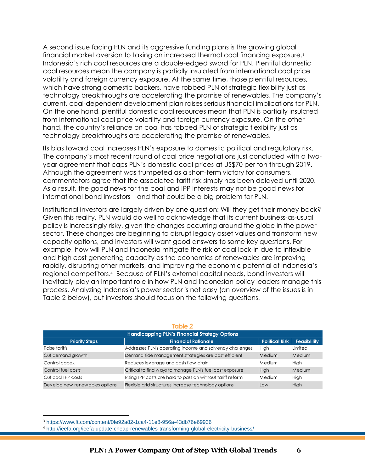A second issue facing PLN and its aggressive funding plans is the growing global financial market aversion to taking on increased thermal coal financing exposure.<sup>3</sup> Indonesia's rich coal resources are a double-edged sword for PLN. Plentiful domestic coal resources mean the company is partially insulated from international coal price volatility and foreign currency exposure. At the same time, those plentiful resources, which have strong domestic backers, have robbed PLN of strategic flexibility just as technology breakthroughs are accelerating the promise of renewables. The company's current, coal-dependent development plan raises serious financial implications for PLN. On the one hand, plentiful domestic coal resources mean that PLN is partially insulated from international coal price volatility and foreign currency exposure. On the other hand, the country's reliance on coal has robbed PLN of strategic flexibility just as technology breakthroughs are accelerating the promise of renewables.

Its bias toward coal increases PLN's exposure to domestic political and regulatory risk. The company's most recent round of coal price negotiations just concluded with a twoyear agreement that caps PLN's domestic coal prices at US\$70 per ton through 2019. Although the agreement was trumpeted as a short-term victory for consumers, commentators agree that the associated tariff risk simply has been delayed until 2020. As a result, the good news for the coal and IPP interests may not be good news for international bond investors—and that could be a big problem for PLN.

Institutional investors are largely driven by one question: Will they get their money back? Given this reality, PLN would do well to acknowledge that its current business-as-usual policy is increasingly risky, given the changes occurring around the globe in the power sector. These changes are beginning to disrupt legacy asset values and transform new capacity options, and investors will want good answers to some key questions. For example, how will PLN and Indonesia mitigate the risk of coal lock-in due to inflexible and high cost generating capacity as the economics of renewables are improving rapidly, disrupting other markets, and improving the economic potential of Indonesia's regional competitors.<sup>4</sup> Because of PLN's external capital needs, bond investors will inevitably play an important role in how PLN and Indonesian policy leaders manage this process. Analyzing Indonesia's power sector is not easy (an overview of the issues is in Table 2 below), but investors should focus on the following questions.

| <b>Handicapping PLN's Financial Strategy Options</b> |                                                            |                       |                     |  |  |  |  |  |  |
|------------------------------------------------------|------------------------------------------------------------|-----------------------|---------------------|--|--|--|--|--|--|
| <b>Priority Steps</b>                                | <b>Financial Rationale</b>                                 | <b>Political Risk</b> | <b>Feasiblility</b> |  |  |  |  |  |  |
| Raise tariffs                                        | Addresses PLN's operating income and solvency challenges   | High                  | Limited             |  |  |  |  |  |  |
| Cut demand growth                                    | Demand side management strategies are cost efficient       | Medium                | Medium              |  |  |  |  |  |  |
| Control capex                                        | Reduces leverage and cash flow drain                       | Medium                | High                |  |  |  |  |  |  |
| Control fuel costs                                   | Critical to find ways to manage PLN's fuel cost exposure   | High                  | Medium              |  |  |  |  |  |  |
| Cut coal IPP costs                                   | Rising IPP costs are hard to pass on without tariff reform | Medium                | High                |  |  |  |  |  |  |
| Develop new renewables options                       | Flexible grid structures increase technology options       | Low                   | High                |  |  |  |  |  |  |

#### **Table 2**

<sup>3</sup> <https://www.ft.com/content/0fe92a82-1ca4-11e8-956a-43db76e69936>

<sup>4</sup> <http://ieefa.org/ieefa-update-cheap-renewables-transforming-global-electricity-business/>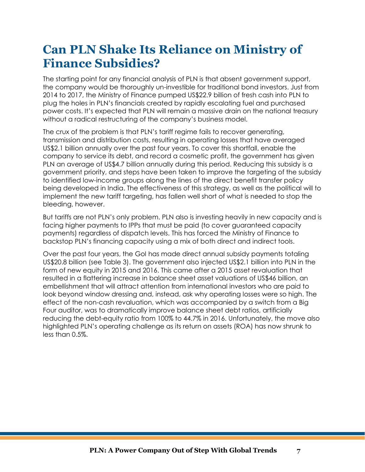### **Can PLN Shake Its Reliance on Ministry of Finance Subsidies?**

The starting point for any financial analysis of PLN is that absent government support, the company would be thoroughly un-investible for traditional bond investors. Just from 2014 to 2017, the Ministry of Finance pumped US\$22.9 billion of fresh cash into PLN to plug the holes in PLN's financials created by rapidly escalating fuel and purchased power costs. It's expected that PLN will remain a massive drain on the national treasury without a radical restructuring of the company's business model.

The crux of the problem is that PLN's tariff regime fails to recover generating, transmission and distribution costs, resulting in operating losses that have averaged US\$2.1 billion annually over the past four years. To cover this shortfall, enable the company to service its debt, and record a cosmetic profit, the government has given PLN an average of US\$4.7 billion annually during this period. Reducing this subsidy is a government priority, and steps have been taken to improve the targeting of the subsidy to identified low-income groups along the lines of the direct benefit transfer policy being developed in India. The effectiveness of this strategy, as well as the political will to implement the new tariff targeting, has fallen well short of what is needed to stop the bleeding, however.

But tariffs are not PLN's only problem. PLN also is investing heavily in new capacity and is facing higher payments to IPPs that must be paid (to cover guaranteed capacity payments) regardless of dispatch levels. This has forced the Ministry of Finance to backstop PLN's financing capacity using a mix of both direct and indirect tools.

Over the past four years, the GoI has made direct annual subsidy payments totaling US\$20.8 billion (see Table 3). The government also injected US\$2.1 billion into PLN in the form of new equity in 2015 and 2016. This came after a 2015 asset revaluation that resulted in a flattering increase in balance sheet asset valuations of US\$46 billion, an embellishment that will attract attention from international investors who are paid to look beyond window dressing and, instead, ask why operating losses were so high. The effect of the non-cash revaluation, which was accompanied by a switch from a Big Four auditor, was to dramatically improve balance sheet debt ratios, artificially reducing the debt-equity ratio from 100% to 44.7% in 2016. Unfortunately, the move also highlighted PLN's operating challenge as its return on assets (ROA) has now shrunk to less than 0.5%.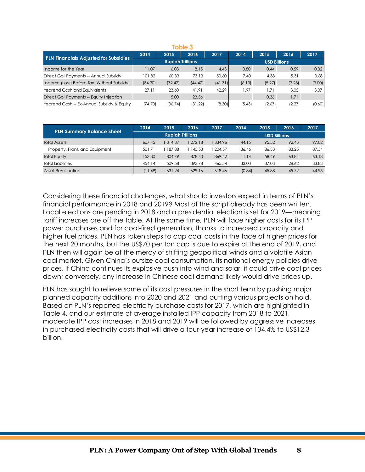| Table 3                                      |                         |         |         |         |                     |        |        |        |
|----------------------------------------------|-------------------------|---------|---------|---------|---------------------|--------|--------|--------|
| <b>PLN Financials Adjusted for Subsidies</b> | 2014                    | 2015    | 2016    | 2017    | 2014                | 2015   | 2016   | 2017   |
|                                              | <b>Rupiah Trillions</b> |         |         |         | <b>USD Billions</b> |        |        |        |
| Income for the Year                          | 11.07                   | 6.03    | 8.15    | 4.43    | 0.80                | 0.44   | 0.59   | 0.32   |
| Direct Gol Payments -- Annual Subsidy        | 101.82                  | 60.33   | 73.13   | 50.60   | 7.40                | 4.38   | 5.31   | 3.68   |
| Income (Loss) Before Tax (Without Subsidy)   | (84.30)                 | (72.47) | (44.47) | (41.31) | (6.13)              | (5.27) | (3.23) | (3.00) |
| Yearend Cash and Equivalents                 | 27.11                   | 23.60   | 41.91   | 42.29   | 1.97                | 1.71   | 3.05   | 3.07   |
| Direct Gol Payments -- Equity Injection      |                         | 5.00    | 23.56   |         |                     | 0.36   | 1.71   |        |
| Yearend Cash -- Ex-Annual Subsidy & Equity   | (74.70)                 | (36.74) | (31.22) | (8.30)  | (5.43)              | (2.67) | (2.27) | (0.60) |

| <b>PLN Summary Balance Sheet</b> | 2014                    | 2015     | 2016     | 2017     | 2014                | 2015  | 2016  | 2017  |
|----------------------------------|-------------------------|----------|----------|----------|---------------------|-------|-------|-------|
|                                  | <b>Rupigh Trillions</b> |          |          |          | <b>USD Billions</b> |       |       |       |
| <b>Total Assets</b>              | 607.45                  | 1.314.37 | 1,272.18 | 1.334.96 | 44.15               | 95.52 | 92.45 | 97.02 |
| Property, Plant, and Equipment   | 501.71                  | 1.187.88 | .145.53  | 1.204.57 | 36.46               | 86.33 | 83.25 | 87.54 |
| <b>Total Equity</b>              | 153.30                  | 804.79   | 878.40   | 869.42   | 11.14               | 58.49 | 63.84 | 63.18 |
| <b>Total Liabilities</b>         | 454.14                  | 509.58   | 393.78   | 465.54   | 33.00               | 37.03 | 28.62 | 33.83 |
| <b>Asset Revaluation</b>         | (11.49)                 | 631.24   | 629.16   | 618.46   | (0.84)              | 45.88 | 45.72 | 44.95 |

Considering these financial challenges, what should investors expect in terms of PLN's financial performance in 2018 and 2019? Most of the script already has been written. Local elections are pending in 2018 and a presidential election is set for 2019—meaning tariff increases are off the table. At the same time, PLN will face higher costs for its IPP power purchases and for coal-fired generation, thanks to increased capacity and higher fuel prices. PLN has taken steps to cap coal costs in the face of higher prices for the next 20 months, but the US\$70 per ton cap is due to expire at the end of 2019, and PLN then will again be at the mercy of shifting geopolitical winds and a volatile Asian coal market. Given China's outsize coal consumption, its national energy policies drive prices. If China continues its explosive push into wind and solar, it could drive coal prices down; conversely, any increase in Chinese coal demand likely would drive prices up.

PLN has sought to relieve some of its cost pressures in the short term by pushing major planned capacity additions into 2020 and 2021 and putting various projects on hold. Based on PLN's reported electricity purchase costs for 2017, which are highlighted in Table 4, and our estimate of average installed IPP capacity from 2018 to 2021, moderate IPP cost increases in 2018 and 2019 will be followed by aggressive increases in purchased electricity costs that will drive a four-year increase of 134.4% to US\$12.3 billion.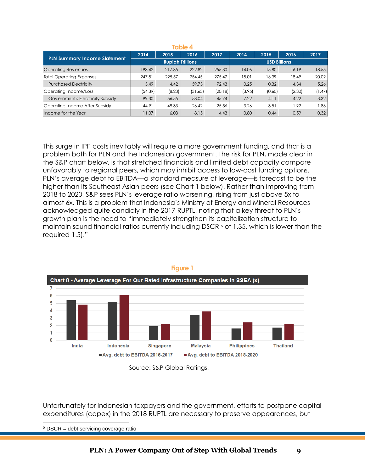| íable 4                             |                         |        |         |         |        |                     |        |        |  |
|-------------------------------------|-------------------------|--------|---------|---------|--------|---------------------|--------|--------|--|
| <b>PLN Summary Income Statement</b> | 2014                    | 2015   | 2016    | 2017    | 2014   | 2015                | 2016   | 2017   |  |
|                                     | <b>Rupiah Trillions</b> |        |         |         |        | <b>USD Billions</b> |        |        |  |
| <b>Operating Revenues</b>           | 193.42                  | 217.35 | 222.82  | 255.30  | 14.06  | 15.80               | 16.19  | 18.55  |  |
| <b>Total Operating Expenses</b>     | 247.81                  | 225.57 | 254.45  | 275.47  | 18.01  | 16.39               | 18.49  | 20.02  |  |
| <b>Purchased Electricity</b>        | 3.49                    | 4.42   | 59.73   | 72.43   | 0.25   | 0.32                | 4.34   | 5.26   |  |
| Operating Income/Loss               | (54.39)                 | (8.23) | (31.63) | (20.18) | (3.95) | (0.60)              | (2.30) | (1.47) |  |
| Government's Electricity Subsidy    | 99.30                   | 56.55  | 58.04   | 45.74   | 7.22   | 4.11                | 4.22   | 3.32   |  |
| Operating Income After Subsidy      | 44.91                   | 48.33  | 26.42   | 25.56   | 3.26   | 3.51                | 1.92   | 86.ا   |  |
| Income for the Year                 | 11.07                   | 6.03   | 8.15    | 4.43    | 0.80   | 0.44                | 0.59   | 0.32   |  |

This surge in IPP costs inevitably will require a more government funding, and that is a problem both for PLN and the Indonesian government. The risk for PLN, made clear in the S&P chart below, is that stretched financials and limited debt capacity compare unfavorably to regional peers, which may inhibit access to low-cost funding options. PLN's average debt to EBITDA—a standard measure of leverage—is forecast to be the higher than its Southeast Asian peers (see Chart 1 below). Rather than improving from 2018 to 2020, S&P sees PLN's leverage ratio worsening, rising from just above 5x to almost 6x. This is a problem that Indonesia's Ministry of Energy and Mineral Resources acknowledged quite candidly in the 2017 RUPTL, noting that a key threat to PLN's growth plan is the need to "immediately strengthen its capitalization structure to maintain sound financial ratios currently including DSCR  $5$  of 1.35, which is lower than the required 1.5)." Fits temmel leaders and the tempel of the service is a service of the service of the servicing coverage ratio is a service of the servicing coverage ratio is a service of the servicing coverage ratio is a service of the se



Source: S&P Global Ratings.

Unfortunately for Indonesian taxpayers and the government, efforts to postpone capital expenditures (capex) in the 2018 RUPTL are necessary to preserve appearances, but

 $\overline{a}$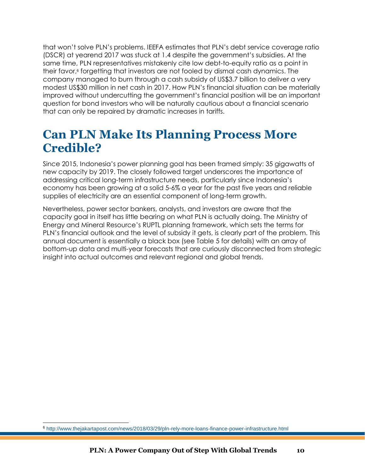that won't solve PLN's problems. IEEFA estimates that PLN's debt service coverage ratio (DSCR) at yearend 2017 was stuck at 1.4 despite the government's subsidies. At the same time, PLN representatives mistakenly cite low debt-to-equity ratio as a point in their favor,<sup>6</sup> forgetting that investors are not fooled by dismal cash dynamics. The company managed to burn through a cash subsidy of US\$3.7 billion to deliver a very modest US\$30 million in net cash in 2017. How PLN's financial situation can be materially improved without undercutting the government's financial position will be an important question for bond investors who will be naturally cautious about a financial scenario that can only be repaired by dramatic increases in tariffs.

### **Can PLN Make Its Planning Process More Credible?**

Since 2015, Indonesia's power planning goal has been framed simply: 35 gigawatts of new capacity by 2019. The closely followed target underscores the importance of addressing critical long-term infrastructure needs, particularly since Indonesia's economy has been growing at a solid 5-6% a year for the past five years and reliable supplies of electricity are an essential component of long-term growth.

Nevertheless, power sector bankers, analysts, and investors are aware that the capacity goal in itself has little bearing on what PLN is actually doing. The Ministry of Energy and Mineral Resource's RUPTL planning framework, which sets the terms for PLN's financial outlook and the level of subsidy it gets, is clearly part of the problem. This annual document is essentially a black box (see Table 5 for details) with an array of bottom-up data and multi-year forecasts that are curiously disconnected from strategic insight into actual outcomes and relevant regional and global trends.

 $\overline{a}$ 

<sup>6</sup> http://www.thejakartapost.com/news/2018/03/29/pln-rely-more-loans-finance-power-infrastructure.html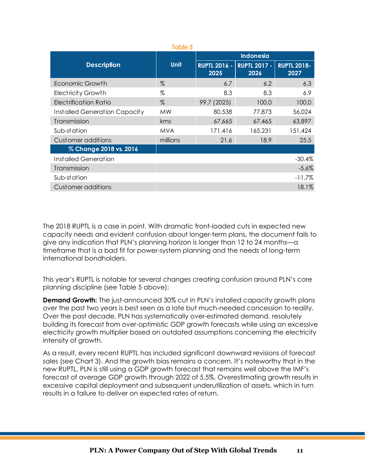|                                      | <b>Table 5</b> |                             |                             |                            |  |  |  |
|--------------------------------------|----------------|-----------------------------|-----------------------------|----------------------------|--|--|--|
|                                      |                | <b>Indonesia</b>            |                             |                            |  |  |  |
| <b>Description</b>                   | <b>Unit</b>    | <b>RUPTL 2016 -</b><br>2025 | <b>RUPTL 2017 -</b><br>2026 | <b>RUPTL 2018-</b><br>2027 |  |  |  |
| Economic Growth                      | $\%$           | 6.7                         | 6.2                         | 6.3                        |  |  |  |
| <b>Electricity Growth</b>            | %              | 8.3                         | 8.3                         | 6.9                        |  |  |  |
| Electrification Ratio                | $\%$           | 99.7 (2025)                 | 100.0                       | 100.0                      |  |  |  |
| <b>Installed Generation Capacity</b> | <b>MW</b>      | 80,538                      | 77,873                      | 56,024                     |  |  |  |
| Transmission                         | kms            | 67,665                      | 67,465                      | 63,897                     |  |  |  |
| Sub-station                          | <b>MVA</b>     | 171,416                     | 165,231                     | 151,424                    |  |  |  |
| Customer additions                   | millions       | 21.6                        | 18.9                        | 25.5                       |  |  |  |
| % Change 2018 vs. 2016               |                |                             |                             |                            |  |  |  |
| Installed Generation                 |                |                             |                             | -30.4%                     |  |  |  |
| Transmission                         |                |                             |                             | $-5.6\%$                   |  |  |  |
| Sub-station                          |                |                             |                             | $-11.7\%$                  |  |  |  |
| Customer additions                   |                |                             |                             | 18.1%                      |  |  |  |

The 2018 RUPTL is a case in point. With dramatic front-loaded cuts in expected new capacity needs and evident confusion about longer-term plans, the document fails to give any indication that PLN's planning horizon is longer than 12 to 24 months—a timeframe that is a bad fit for power-system planning and the needs of long-term international bondholders.

This year's RUPTL is notable for several changes creating confusion around PLN's core planning discipline (see Table 5 above):

**Demand Growth:** The just-announced 30% cut in PLN's installed capacity growth plans over the past two years is best seen as a late but much-needed concession to reality. Over the past decade, PLN has systematically over-estimated demand, resolutely building its forecast from over-optimistic GDP growth forecasts while using an excessive electricity growth multiplier based on outdated assumptions concerning the electricity intensity of growth.

As a result, every recent RUPTL has included significant downward revisions of forecast sales (see Chart 3). And the growth bias remains a concern. It's noteworthy that in the new RUPTL, PLN is still using a GDP growth forecast that remains well above the IMF's forecast of average GDP growth through 2022 of 5.5%. Overestimating growth results in excessive capital deployment and subsequent underutilization of assets, which in turn results in a failure to deliver on expected rates of return.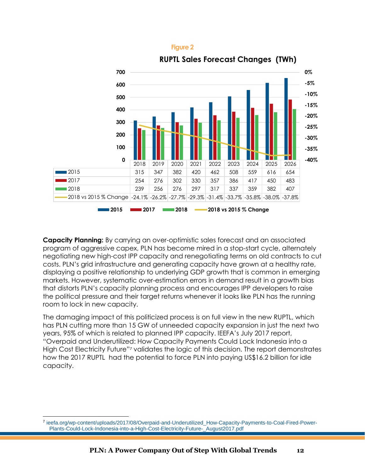



**Capacity Planning:** By carrying an over-optimistic sales forecast and an associated program of aggressive capex, PLN has become mired in a stop-start cycle, alternately negotiating new high-cost IPP capacity and renegotiating terms on old contracts to cut costs. PLN's grid infrastructure and generating capacity have grown at a healthy rate, displaying a positive relationship to underlying GDP growth that is common in emerging markets. However, systematic over-estimation errors in demand result in a growth bias that distorts PLN's capacity planning process and encourages IPP developers to raise the political pressure and their target returns whenever it looks like PLN has the running room to lock in new capacity.

The damaging impact of this politicized process is on full view in the new RUPTL, which has PLN cutting more than 15 GW of unneeded capacity expansion in just the next two years, 95% of which is related to planned IPP capacity. IEEFA's July 2017 report, "Overpaid and Underutilized: How Capacity Payments Could Lock Indonesia into a High Cost Electricity Future"*<sup>7</sup>* validates the logic of this decision. The report demonstrates how the 2017 RUPTL had the potential to force PLN into paying US\$16.2 billion for idle capacity.

<sup>7</sup> ieefa.org/wp-content/uploads/2017/08/Overpaid-and-Underutilized\_How-Capacity-Payments-to-Coal-Fired-Power-Plants-Could-Lock-Indonesia-into-a-High-Cost-Electricity-Future-\_August2017.pdf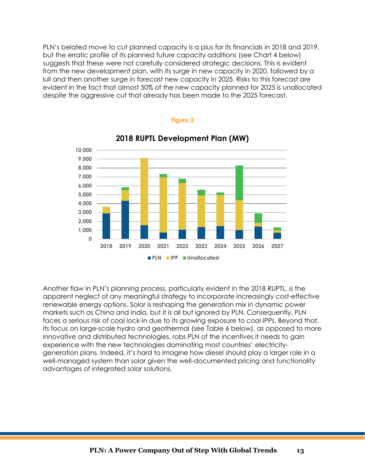PLN's belated move to cut planned capacity is a plus for its financials in 2018 and 2019, but the erratic profile of its planned future capacity additions (see Chart 4 below) suggests that these were not carefully considered strategic decisions. This is evident from the new development plan, with its surge in new capacity in 2020, followed by a lull and then another surge in forecast new capacity in 2025. Risks to this forecast are evident in the fact that almost 50% of the new capacity planned for 2025 is unallocated despite the aggressive cut that already has been made to the 2025 forecast.



#### **2018 RUPTL Development Plan (MW)**

**Figure 3**

Another flaw in PLN's planning process, particularly evident in the 2018 RUPTL, is the apparent neglect of any meaningful strategy to incorporate increasingly cost-effective renewable energy options. Solar is reshaping the generation mix in dynamic power markets such as China and India, but it is all but ignored by PLN. Consequently, PLN faces a serious risk of coal lock-in due to its growing exposure to coal IPPs. Beyond that, its focus on large-scale hydro and geothermal (see Table 6 below), as opposed to more innovative and distributed technologies, robs PLN of the incentives it needs to gain experience with the new technologies dominating most countries' electricitygeneration plans. Indeed, it's hard to imagine how diesel should play a larger role in a well-managed system than solar given the well-documented pricing and functionality advantages of integrated solar solutions.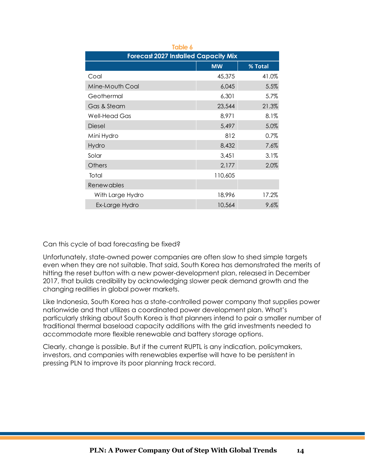| Table 6           |                                             |         |  |  |  |  |  |  |  |  |
|-------------------|---------------------------------------------|---------|--|--|--|--|--|--|--|--|
|                   | <b>Forecast 2027 Installed Capacity Mix</b> |         |  |  |  |  |  |  |  |  |
|                   | <b>MW</b>                                   | % Total |  |  |  |  |  |  |  |  |
| Coal              | 45,375                                      | 41.0%   |  |  |  |  |  |  |  |  |
| Mine-Mouth Coal   | 6,045                                       | 5.5%    |  |  |  |  |  |  |  |  |
| Geothermal        | 6,301                                       | 5.7%    |  |  |  |  |  |  |  |  |
| Gas & Steam       | 23,544                                      | 21.3%   |  |  |  |  |  |  |  |  |
| Well-Head Gas     | 8,971                                       | 8.1%    |  |  |  |  |  |  |  |  |
| Diesel            | 5,497                                       | 5.0%    |  |  |  |  |  |  |  |  |
| Mini Hydro        | 812                                         | 0.7%    |  |  |  |  |  |  |  |  |
| Hydro             | 8,432                                       | 7.6%    |  |  |  |  |  |  |  |  |
| Solar             | 3,451                                       | 3.1%    |  |  |  |  |  |  |  |  |
| Others            | 2,177                                       | 2.0%    |  |  |  |  |  |  |  |  |
| Total             | 110,605                                     |         |  |  |  |  |  |  |  |  |
| <b>Renewables</b> |                                             |         |  |  |  |  |  |  |  |  |
| With Large Hydro  | 18,996                                      | 17.2%   |  |  |  |  |  |  |  |  |
| Ex-Large Hydro    | 10,564                                      | 9.6%    |  |  |  |  |  |  |  |  |

#### Can this cycle of bad forecasting be fixed?

Unfortunately, state-owned power companies are often slow to shed simple targets even when they are not suitable. That said, South Korea has demonstrated the merits of hitting the reset button with a new power-development plan, released in December 2017, that builds credibility by acknowledging slower peak demand growth and the changing realities in global power markets.

Like Indonesia, South Korea has a state-controlled power company that supplies power nationwide and that utilizes a coordinated power development plan. What's particularly striking about South Korea is that planners intend to pair a smaller number of traditional thermal baseload capacity additions with the grid investments needed to accommodate more flexible renewable and battery storage options.

Clearly, change is possible. But if the current RUPTL is any indication, policymakers, investors, and companies with renewables expertise will have to be persistent in pressing PLN to improve its poor planning track record.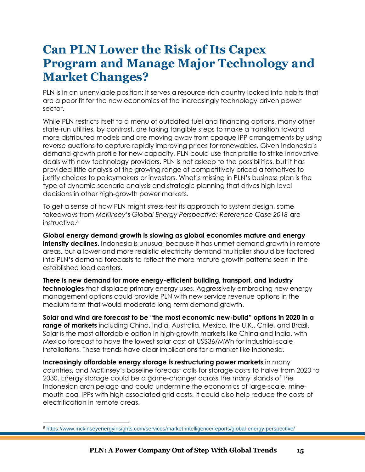### **Can PLN Lower the Risk of Its Capex Program and Manage Major Technology and Market Changes?**

PLN is in an unenviable position: It serves a resource-rich country locked into habits that are a poor fit for the new economics of the increasingly technology-driven power sector.

While PLN restricts itself to a menu of outdated fuel and financing options, many other state-run utilities, by contrast, are taking tangible steps to make a transition toward more distributed models and are moving away from opaque IPP arrangements by using reverse auctions to capture rapidly improving prices for renewables. Given Indonesia's demand-growth profile for new capacity, PLN could use that profile to strike innovative deals with new technology providers. PLN is not asleep to the possibilities, but it has provided little analysis of the growing range of competitively priced alternatives to justify choices to policymakers or investors. What's missing in PLN's business plan is the type of dynamic scenario analysis and strategic planning that drives high-level decisions in other high-growth power markets.

To get a sense of how PLN might stress-test its approach to system design, some takeaways from *McKinsey's Global Energy Perspective: Reference Case 2018* are instructive*. 8*

**Global energy demand growth is slowing as global economies mature and energy intensity declines**. Indonesia is unusual because it has unmet demand growth in remote areas, but a lower and more realistic electricity demand multiplier should be factored into PLN's demand forecasts to reflect the more mature growth patterns seen in the established load centers.

**There is new demand for more energy-efficient building, transport, and industry technologies** that displace primary energy uses. Aggressively embracing new energy management options could provide PLN with new service revenue options in the medium term that would moderate long-term demand growth.

**Solar and wind are forecast to be "the most economic new-build" options in 2020 in a range of markets** including China, India, Australia, Mexico, the U.K., Chile, and Brazil. Solar is the most affordable option in high-growth markets like China and India, with Mexico forecast to have the lowest solar cost at US\$36/MWh for industrial-scale installations. These trends have clear implications for a market like Indonesia.

**Increasingly affordable energy storage is restructuring power markets** in many countries, and McKinsey's baseline forecast calls for storage costs to halve from 2020 to 2030. Energy storage could be a game-changer across the many islands of the Indonesian archipelago and could undermine the economics of large-scale, minemouth coal IPPs with high associated grid costs. It could also help reduce the costs of electrification in remote areas.

 $\overline{a}$ 

<sup>8</sup> <https://www.mckinseyenergyinsights.com/services/market-intelligence/reports/global-energy-perspective/>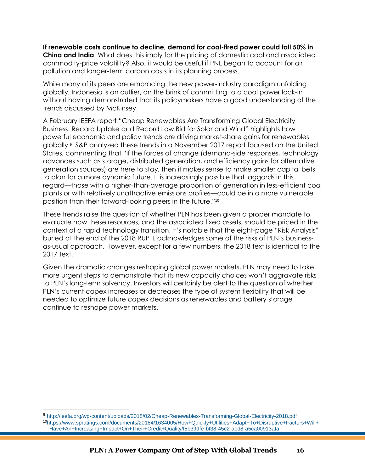**If renewable costs continue to decline, demand for coal-fired power could fall 50% in China and India**. What does this imply for the pricing of domestic coal and associated commodity-price volatility? Also, it would be useful if PNL began to account for air pollution and longer-term carbon costs in its planning process.

While many of its peers are embracing the new power-industry paradigm unfolding globally, Indonesia is an outlier, on the brink of committing to a coal power lock-in without having demonstrated that its policymakers have a good understanding of the trends discussed by McKinsey.

A February IEEFA report "Cheap Renewables Are Transforming Global Electricity Business: Record Uptake and Record Low Bid for Solar and Wind" highlights how powerful economic and policy trends are driving market-share gains for renewables globally.<sup>9</sup> S&P analyzed these trends in a November 2017 report focused on the United States, commenting that "if the forces of change (demand-side responses, technology advances such as storage, distributed generation, and efficiency gains for alternative generation sources) are here to stay, then it makes sense to make smaller capital bets to plan for a more dynamic future. It is increasingly possible that laggards in this regard—those with a higher-than-average proportion of generation in less-efficient coal plants or with relatively unattractive emissions profiles—could be in a more vulnerable position than their forward-looking peers in the future."<sup>10</sup>

These trends raise the question of whether PLN has been given a proper mandate to evaluate how these resources, and the associated fixed assets, should be priced in the context of a rapid technology transition. It's notable that the eight-page "Risk Analysis" buried at the end of the 2018 RUPTL acknowledges some of the risks of PLN's businessas-usual approach. However, except for a few numbers, the 2018 text is identical to the 2017 text.

Given the dramatic changes reshaping global power markets, PLN may need to take more urgent steps to demonstrate that its new capacity choices won't aggravate risks to PLN's long-term solvency. Investors will certainly be alert to the question of whether PLN's current capex increases or decreases the type of system flexibility that will be needed to optimize future capex decisions as renewables and battery storage continue to reshape power markets.

 $\overline{a}$ 

<sup>9</sup> http://ieefa.org/wp-content/uploads/2018/02/Cheap-Renewables-Transforming-Global-Electricity-2018.pdf <sup>10</sup>https://www.spratings.com/documents/20184/1634005/How+Quickly+Utilities+Adapt+To+Disruptive+Factors+Will+ Have+An+Increasing+Impact+On+Their+Credit+Quality/f8b39dfe-bf38-45c2-aed8-a5ca00913afa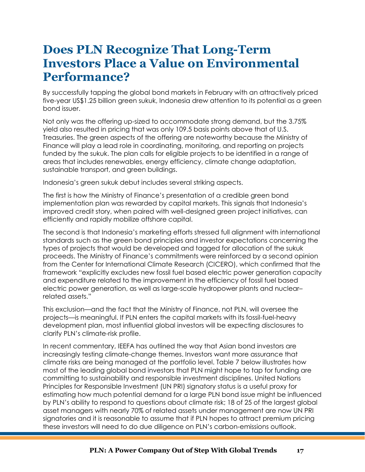### **Does PLN Recognize That Long-Term Investors Place a Value on Environmental Performance?**

By successfully tapping the global bond markets in February with an attractively priced five-year US\$1.25 billion green sukuk, Indonesia drew attention to its potential as a green bond issuer.

Not only was the offering up-sized to accommodate strong demand, but the 3.75% yield also resulted in pricing that was only 109.5 basis points above that of U.S. Treasuries. The green aspects of the offering are noteworthy because the Ministry of Finance will play a lead role in coordinating, monitoring, and reporting on projects funded by the sukuk. The plan calls for eligible projects to be identified in a range of areas that includes renewables, energy efficiency, climate change adaptation, sustainable transport, and green buildings.

Indonesia's green sukuk debut includes several striking aspects.

The first is how the Ministry of Finance's presentation of a credible green bond implementation plan was rewarded by capital markets. This signals that Indonesia's improved credit story, when paired with well-designed green project initiatives, can efficiently and rapidly mobilize offshore capital.

The second is that Indonesia's marketing efforts stressed full alignment with international standards such as the green bond principles and investor expectations concerning the types of projects that would be developed and tagged for allocation of the sukuk proceeds. The Ministry of Finance's commitments were reinforced by a second opinion from the Center for International Climate Research (CICERO), which confirmed that the framework "explicitly excludes new fossil fuel based electric power generation capacity and expenditure related to the improvement in the efficiency of fossil fuel based electric power generation, as well as large-scale hydropower plants and nuclear– related assets."

This exclusion—and the fact that the Ministry of Finance, not PLN, will oversee the projects—is meaningful. If PLN enters the capital markets with its fossil-fuel-heavy development plan, most influential global investors will be expecting disclosures to clarify PLN's climate-risk profile.

In recent commentary, IEEFA has outlined the way that Asian bond investors are increasingly testing climate-change themes. Investors want more assurance that climate risks are being managed at the portfolio level. Table 7 below illustrates how most of the leading global bond investors that PLN might hope to tap for funding are committing to sustainability and responsible investment disciplines. United Nations Principles for Responsible Investment (UN PRI) signatory status is a useful proxy for estimating how much potential demand for a large PLN bond issue might be influenced by PLN's ability to respond to questions about climate risk; 18 of 25 of the largest global asset managers with nearly 70% of related assets under management are now UN PRI signatories and it is reasonable to assume that if PLN hopes to attract premium pricing these investors will need to do due diligence on PLN's carbon-emissions outlook.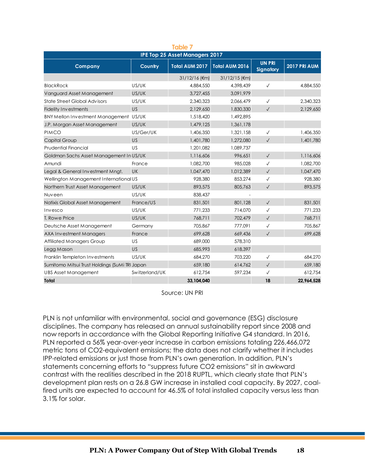| <b>Table 7</b>                                 |                |                                       |                            |                                   |              |  |  |  |  |
|------------------------------------------------|----------------|---------------------------------------|----------------------------|-----------------------------------|--------------|--|--|--|--|
|                                                |                | <b>IPE Top 25 Asset Managers 2017</b> |                            |                                   |              |  |  |  |  |
| <b>Company</b>                                 | Country        | Total AUM 2017                        | Total AUM 2016             | <b>UN PRI</b><br><b>Signatory</b> | 2017 PRI AUM |  |  |  |  |
|                                                |                | $31/12/16$ ( $\epsilon$ m)            | $31/12/15$ ( $\epsilon$ m) |                                   |              |  |  |  |  |
| <b>BlackRock</b>                               | US/UK          | 4,884,550                             | 4,398,439                  | $\checkmark$                      | 4,884,550    |  |  |  |  |
| Vanguard Asset Management                      | US/UK          | 3,727,455                             | 3,091,979                  |                                   |              |  |  |  |  |
| State Street Global Advisors                   | US/UK          | 2,340,323                             | 2,066,479                  | $\checkmark$                      | 2,340,323    |  |  |  |  |
| <b>Fidelity Investments</b>                    | <b>US</b>      | 2,129,650                             | 1,830,330                  | $\checkmark$                      | 2,129,650    |  |  |  |  |
| BNY Mellon Investment Management US/UK         |                | 1,518,420                             | 1.492.895                  |                                   |              |  |  |  |  |
| J.P. Morgan Asset Management                   | US/UK          | 1,479,125                             | 1,361,178                  |                                   |              |  |  |  |  |
| <b>PIMCO</b>                                   | US/Ger/UK      | 1,406,350                             | 1,321,158                  | $\checkmark$                      | 1,406,350    |  |  |  |  |
| <b>Capital Group</b>                           | US             | 1,401,780                             | 1,272,080                  | $\checkmark$                      | 1,401,780    |  |  |  |  |
| <b>Prudential Financial</b>                    | <b>US</b>      | 1,201,082                             | 1,089,737                  |                                   |              |  |  |  |  |
| Goldman Sachs Asset Management In US/UK        |                | 1,116,606                             | 996.651                    | $\checkmark$                      | 1,116,606    |  |  |  |  |
| Amundi                                         | France         | 1,082,700                             | 985,028                    | $\checkmark$                      | 1,082,700    |  |  |  |  |
| Legal & General Investment Mngt.               | <b>UK</b>      | 1,047,470                             | 1,012,389                  | $\checkmark$                      | 1,047,470    |  |  |  |  |
| Wellington Management International US         |                | 928,380                               | 853,274                    | $\checkmark$                      | 928,380      |  |  |  |  |
| Northern Trust Asset Management                | US/UK          | 893,575                               | 805,763                    | $\checkmark$                      | 893,575      |  |  |  |  |
| Nuveen                                         | US/UK          | 838,437                               |                            |                                   |              |  |  |  |  |
| Natixis Global Asset Management                | France/US      | 831,501                               | 801,128                    | $\checkmark$                      | 831,501      |  |  |  |  |
| Invesco                                        | US/UK          | 771,233                               | 714,070                    | $\checkmark$                      | 771,233      |  |  |  |  |
| T. Rowe Price                                  | US/UK          | 768,711                               | 702,479                    | $\checkmark$                      | 768,711      |  |  |  |  |
| Deutsche Asset Management                      | Germany        | 705.867                               | 777,091                    | $\checkmark$                      | 705,867      |  |  |  |  |
| <b>AXA Investment Managers</b>                 | France         | 699.628                               | 669,436                    | $\checkmark$                      | 699,628      |  |  |  |  |
| <b>Affiliated Managers Group</b>               | US             | 689,000                               | 578,310                    |                                   |              |  |  |  |  |
| Legg Mason                                     | US             | 685,993                               | 618,397                    |                                   |              |  |  |  |  |
| Franklin Templeton Investments                 | US/UK          | 684,270                               | 703,220                    | $\checkmark$                      | 684,270      |  |  |  |  |
| Sumitomo Mitsui Trust Holdings (SuMi TRI Japan |                | 659,180                               | 614,762                    | $\checkmark$                      | 659,180      |  |  |  |  |
| <b>UBS Asset Management</b>                    | Switzerland/UK | 612.754                               | 597,234                    | $\checkmark$                      | 612.754      |  |  |  |  |
| Total                                          |                | 33.104.040                            |                            | 18                                | 22,964,528   |  |  |  |  |

Source: UN PRI

PLN is not unfamiliar with environmental, social and governance (ESG) disclosure disciplines. The company has released an annual sustainability report since 2008 and now reports in accordance with the Global Reporting Initiative G4 standard. In 2016, PLN reported a 56% year-over-year increase in carbon emissions totaling 226,466,072 metric tons of CO2-equivalent emissions; the data does not clarify whether it includes IPP-related emissions or just those from PLN's own generation. In addition, PLN's statements concerning efforts to "suppress future CO2 emissions" sit in awkward contrast with the realities described in the 2018 RUPTL, which clearly state that PLN's development plan rests on a 26.8 GW increase in installed coal capacity. By 2027, coalfired units are expected to account for 46.5% of total installed capacity versus less than 3.1% for solar.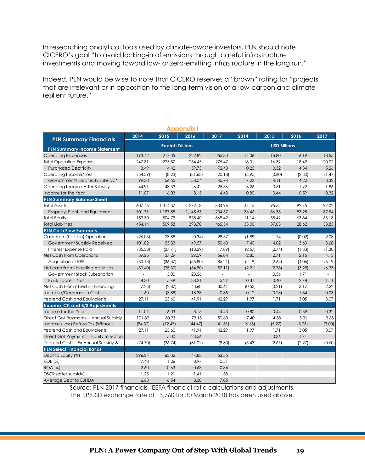In researching analytical tools used by climate-aware investors, PLN should note CICERO's goal "to avoid locking-in of emissions through careful infrastructure investments and moving toward low- or zero-emitting infrastructure in the long run."

Indeed, PLN would be wise to note that CICERO reserves a "brown" rating for "projects that are irrelevant or in opposition to the long-term vision of a low-carbon and climateresilient future."

| <b>Appendix</b>                                                |                                                |                      |                 |                  |                |        |                |                |  |
|----------------------------------------------------------------|------------------------------------------------|----------------------|-----------------|------------------|----------------|--------|----------------|----------------|--|
| <b>PLN Summary Financials</b>                                  | 2014                                           | 2015                 | 2016            | 2017             | 2014           | 2015   | 2016           | 2017           |  |
| <b>PLN Summary Income Statement</b>                            | <b>Rupiah Trillions</b><br><b>USD Billions</b> |                      |                 |                  |                |        |                |                |  |
| <b>Operating Revenues</b>                                      | 193.42                                         | 217.35               | 222.82          | 255.30           | 14.06          | 15.80  | 16.19          | 18.55          |  |
| <b>Total Operating Expenses</b>                                | 247.81                                         | 225.57               | 254.45          | 275.47           | 18.01          | 16.39  | 18.49          | 20.02          |  |
| <b>Purchased Electricity</b>                                   | 3.49                                           | 4.42                 | 59.73           | 72.43            | 0.25           | 0.32   | 4.34           | 5.26           |  |
| Operating Income/Loss                                          | (54.39)                                        | (8.23)               | (31.63)         | (20.18)          | (3.95)         | (0.60) | (2.30)         | (1.47)         |  |
| Government's Electricity Subsidy *                             | 99.30                                          | 56.55                | 58.04           | 45.74            | 7.22           | 4.11   | 4.22           | 3.32           |  |
| Operating Income After Subsidy                                 | 44.91                                          | 48.33                | 26.42           | 25.56            | 3.26           | 3.51   | 1.92           | 1.86           |  |
| Income for the Year                                            | 11.07                                          | 6.03                 | 8.15            | 4.43             | 0.80           | 0.44   | 0.59           | 0.32           |  |
|                                                                |                                                |                      |                 |                  |                |        |                |                |  |
| <b>PLN Summary Balance Sheet</b><br><b>Total Assets</b>        | 607.45                                         |                      | 1,272.18        | 1,334.96         | 44.15          | 95.52  | 92.45          | 97.02          |  |
|                                                                | 501.71                                         | 1,314.37<br>1,187.88 | 1,145.53        | 1,204.57         | 36.46          | 86.33  | 83.25          | 87.54          |  |
| Property, Plant, and Equipment                                 | 153.30                                         | 804.79               | 878.40          | 869.42           | 11.14          | 58.49  | 63.84          | 63.18          |  |
| <b>Total Equity</b><br><b>Total Liabilities</b>                | 454.14                                         | 509.58               | 393.78          | 465.54           | 33.00          | 37.03  | 28.62          | 33.83          |  |
|                                                                |                                                |                      |                 |                  |                |        |                |                |  |
| <b>PLN Cash Flow Summary</b><br>Cash From (Used in) Operations |                                                | 23.88                |                 | 28.57            |                | 1.74   |                | 2.08           |  |
|                                                                | (26.06)<br>101.82                              | 55.33                | (0.34)<br>49.57 | 50.60            | (1.89)<br>7.40 | 4.02   | (0.02)<br>3.60 | 3.68           |  |
| Government Subsidy Received<br><b>Interest Expense Paid</b>    |                                                |                      |                 |                  |                |        |                |                |  |
|                                                                | (35.38)<br>39.25                               | (37.71)              | (18.29)         | (17.89)<br>56.84 | (2.57)<br>2.85 | (2.74) | (1.33)         | (1.30)<br>4.13 |  |
| Net Cash From Operations                                       |                                                | 37.29                | 29.59           |                  |                | 2.71   | 2.15           |                |  |
| Acquisition of PPE                                             | (30.13)                                        | (36.37)              | (55.80)         | (85.21)          | (2.19)         | (2.64) | (4.06)         | (6.19)         |  |
| Net cash From Investing Activities                             | (30.40)                                        | (38.30)              | (54.80)         | (87.11)          | (2.21)         | (2.78) | (3.98)         | (6.33)         |  |
| Government Stock Subscription                                  |                                                | 5.00                 | 23.56           |                  |                | 0.36   | 1.71           |                |  |
| <b>Bank Loans -- Net</b>                                       | 4.30                                           | 5.49                 | 38.21           | 15.27            | 0.31           | 0.40   | 2.78           | 1.11           |  |
| Net Cash From (Used in) Financing                              | (7.25)                                         | (2.87)               | 43.60           | 30.61            | (0.53)         | (0.21) | 3.17           | 2.22           |  |
| Increase/Decrease in Cash                                      | 1.60                                           | (3.88)               | 18.38           | 0.35             | 0.12           | (0.28) | 1.34           | 0.03           |  |
| Yearend Cash and Equivalents                                   | 27.11                                          | 23.60                | 41.91           | 42.29            | 1.97           | 1.71   | 3.05           | 3.07           |  |
| Income, CF, and B/S Adjustments                                |                                                |                      |                 |                  |                |        |                |                |  |
| Income for the Year                                            | 11.07                                          | 6.03                 | 8.15            | 4.43             | 0.80           | 0.44   | 0.59           | 0.32           |  |
| Direct Gol Payments -- Annual Subsidy                          | 101.82                                         | 60.33                | 73.13           | 50.60            | 7.40           | 4.38   | 5.31           | 3.68           |  |
| Income (Loss) Before Tax (Without                              | (84.30)                                        | (72.47)              | (44.47)         | (41.31)          | (6.13)         | (5.27) | (3.23)         | (3.00)         |  |
| Yearend Cash and Equivalents                                   | 27.11                                          | 23.60                | 41.91           | 42.29            | 1.97           | 1.71   | 3.05           | 3.07           |  |
| Direct Gol Payments -- Equity Injection                        |                                                | 5.00                 | 23.56           |                  |                | 0.36   | 1.71           |                |  |
| Yearend Cash -- Ex-Annual Subsidy &                            | (74.70)                                        | (36.74)              | (31.22)         | (8.30)           | (5.43)         | (2.67) | (2.27)         | (0.60)         |  |
| <b>PLN Select Financial Ratios</b>                             |                                                |                      |                 |                  |                |        |                |                |  |
| Debt to Equity (%)                                             | 296.24                                         | 63.32                | 44.83           | 53.55            |                |        |                |                |  |
| <b>ROE</b> (%)                                                 | 7.48                                           | 1.26                 | 0.97            | 0.51             |                |        |                |                |  |
| <b>ROA (%)</b>                                                 | 2.60                                           | 0.63                 | 0.63            | 0.34             |                |        |                |                |  |
| <b>DSCR</b> (after subsidy)                                    | 1.25                                           | 1.21                 | 1.41            | 1.38             |                |        |                |                |  |
| Average Debt to EBITDA                                         | 6.63                                           | 6.54                 | 8.38            | 7.85             |                |        |                |                |  |

Source: PLN 2017 financials, IEEFA financial ratio calculations and adjustments. The RP:USD exchange rate of 13,760 for 30 March 2018 has been used above.